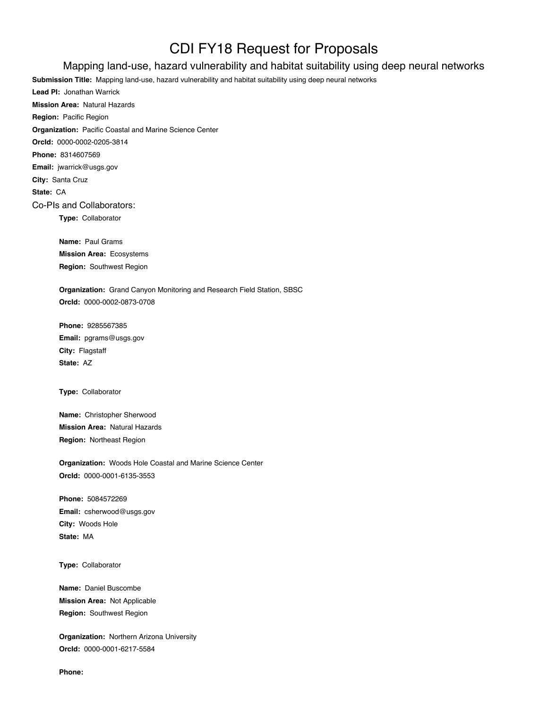## CDI FY18 Request for Proposals

## Mapping land-use, hazard vulnerability and habitat suitability using deep neural networks

**Submission Title:** Mapping land-use, hazard vulnerability and habitat suitability using deep neural networks **Lead PI:** Jonathan Warrick **Mission Area:** Natural Hazards **Region:** Pacific Region **Organization:** Pacific Coastal and Marine Science Center **OrcId:** 0000-0002-0205-3814 **Phone:** 8314607569 **Email:** jwarrick@usgs.gov **City:** Santa Cruz **State:** CA Co-PIs and Collaborators: **Type:** Collaborator **Name:** Paul Grams

**Mission Area:** Ecosystems **Region:** Southwest Region

**Organization:** Grand Canyon Monitoring and Research Field Station, SBSC **OrcId:** 0000-0002-0873-0708

**Phone:** 9285567385 **Email:** pgrams@usgs.gov **City:** Flagstaff **State:** AZ

**Type:** Collaborator

**Name:** Christopher Sherwood **Mission Area:** Natural Hazards **Region:** Northeast Region

**Organization:** Woods Hole Coastal and Marine Science Center **OrcId:** 0000-0001-6135-3553

**Phone:** 5084572269 **Email:** csherwood@usgs.gov **City:** Woods Hole **State:** MA

**Type:** Collaborator

**Name:** Daniel Buscombe **Mission Area:** Not Applicable **Region:** Southwest Region

**Organization:** Northern Arizona University **OrcId:** 0000-0001-6217-5584

**Phone:**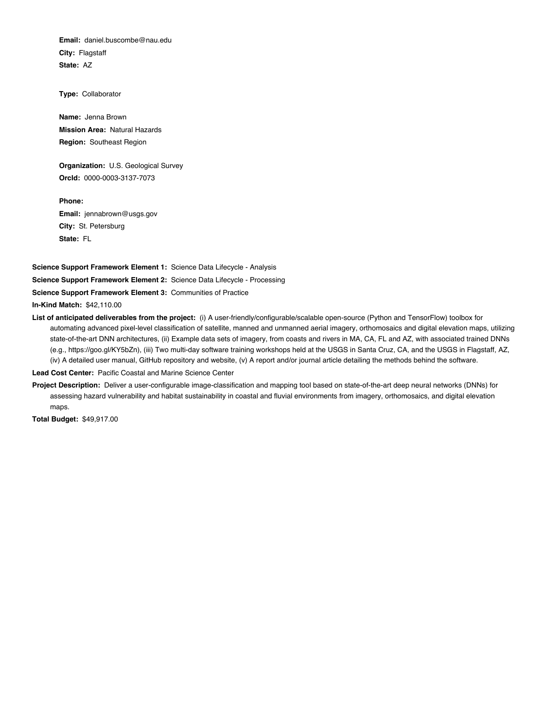**Email:** daniel.buscombe@nau.edu **City:** Flagstaff **State:** AZ

**Type:** Collaborator

**Name:** Jenna Brown **Mission Area:** Natural Hazards **Region:** Southeast Region

**Organization:** U.S. Geological Survey **OrcId:** 0000-0003-3137-7073

**Phone: Email:** jennabrown@usgs.gov **City:** St. Petersburg **State:** FL

**Science Support Framework Element 1:** Science Data Lifecycle - Analysis **Science Support Framework Element 2:** Science Data Lifecycle - Processing **Science Support Framework Element 3:** Communities of Practice

**In-Kind Match:** \$42,110.00

**List of anticipated deliverables from the project:** (i) A user-friendly/configurable/scalable open-source (Python and TensorFlow) toolbox for automating advanced pixel-level classification of satellite, manned and unmanned aerial imagery, orthomosaics and digital elevation maps, utilizing state-of-the-art DNN architectures, (ii) Example data sets of imagery, from coasts and rivers in MA, CA, FL and AZ, with associated trained DNNs (e.g., https://goo.gl/KY5bZn), (iii) Two multi-day software training workshops held at the USGS in Santa Cruz, CA, and the USGS in Flagstaff, AZ, (iv) A detailed user manual, GitHub repository and website, (v) A report and/or journal article detailing the methods behind the software.

**Lead Cost Center:** Pacific Coastal and Marine Science Center

**Project Description:** Deliver a user-configurable image-classification and mapping tool based on state-of-the-art deep neural networks (DNNs) for assessing hazard vulnerability and habitat sustainability in coastal and fluvial environments from imagery, orthomosaics, and digital elevation maps.

**Total Budget:** \$49,917.00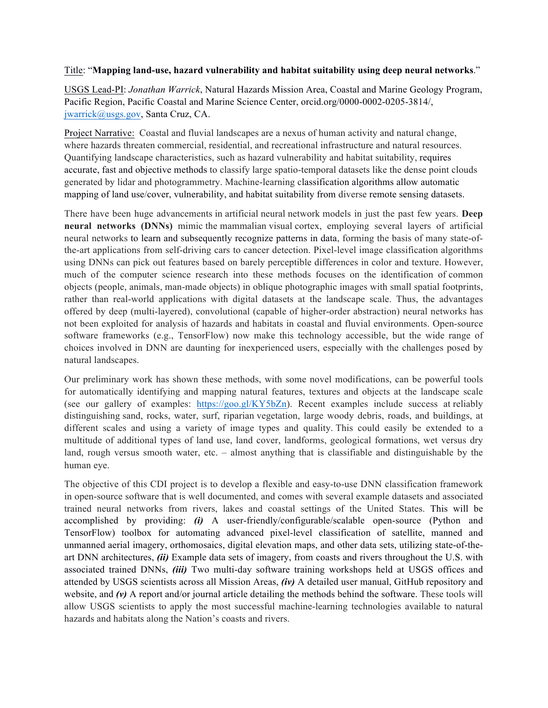## Title: "**Mapping land-use, hazard vulnerability and habitat suitability using deep neural networks**."

USGS Lead-PI: *Jonathan Warrick*, Natural Hazards Mission Area, Coastal and Marine Geology Program, Pacific Region, Pacific Coastal and Marine Science Center, orcid.org/0000-0002-0205-3814/, jwarrick@usgs.gov, Santa Cruz, CA.

Project Narrative: Coastal and fluvial landscapes are a nexus of human activity and natural change, where hazards threaten commercial, residential, and recreational infrastructure and natural resources. Quantifying landscape characteristics, such as hazard vulnerability and habitat suitability, requires accurate, fast and objective methods to classify large spatio-temporal datasets like the dense point clouds generated by lidar and photogrammetry. Machine-learning classification algorithms allow automatic mapping of land use/cover, vulnerability, and habitat suitability from diverse remote sensing datasets.

There have been huge advancements in artificial neural network models in just the past few years. **Deep neural networks (DNNs)** mimic the mammalian visual cortex, employing several layers of artificial neural networks to learn and subsequently recognize patterns in data, forming the basis of many state-ofthe-art applications from self-driving cars to cancer detection. Pixel-level image classification algorithms using DNNs can pick out features based on barely perceptible differences in color and texture. However, much of the computer science research into these methods focuses on the identification of common objects (people, animals, man-made objects) in oblique photographic images with small spatial footprints, rather than real-world applications with digital datasets at the landscape scale. Thus, the advantages offered by deep (multi-layered), convolutional (capable of higher-order abstraction) neural networks has not been exploited for analysis of hazards and habitats in coastal and fluvial environments. Open-source software frameworks (e.g., TensorFlow) now make this technology accessible, but the wide range of choices involved in DNN are daunting for inexperienced users, especially with the challenges posed by natural landscapes.

Our preliminary work has shown these methods, with some novel modifications, can be powerful tools for automatically identifying and mapping natural features, textures and objects at the landscape scale (see our gallery of examples: https://goo.gl/KY5bZn). Recent examples include success at reliably distinguishing sand, rocks, water, surf, riparian vegetation, large woody debris, roads, and buildings, at different scales and using a variety of image types and quality. This could easily be extended to a multitude of additional types of land use, land cover, landforms, geological formations, wet versus dry land, rough versus smooth water, etc. – almost anything that is classifiable and distinguishable by the human eye.

The objective of this CDI project is to develop a flexible and easy-to-use DNN classification framework in open-source software that is well documented, and comes with several example datasets and associated trained neural networks from rivers, lakes and coastal settings of the United States. This will be accomplished by providing: *(i)* A user-friendly/configurable/scalable open-source (Python and TensorFlow) toolbox for automating advanced pixel-level classification of satellite, manned and unmanned aerial imagery, orthomosaics, digital elevation maps, and other data sets, utilizing state-of-theart DNN architectures, *(ii)* Example data sets of imagery, from coasts and rivers throughout the U.S. with associated trained DNNs, *(iii)* Two multi-day software training workshops held at USGS offices and attended by USGS scientists across all Mission Areas, *(iv)* A detailed user manual, GitHub repository and website, and  $(v)$  A report and/or journal article detailing the methods behind the software. These tools will allow USGS scientists to apply the most successful machine-learning technologies available to natural hazards and habitats along the Nation's coasts and rivers.